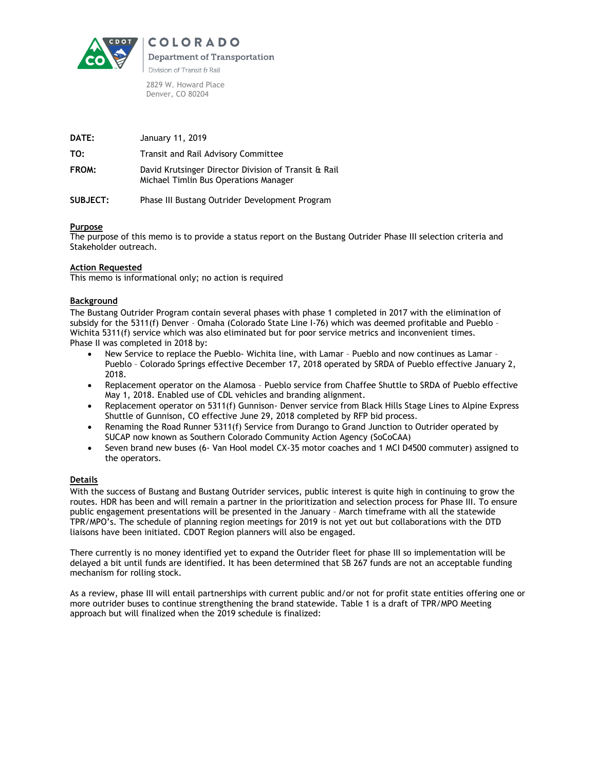

COLORADO **Department of Transportation** Division of Transit & Rail

2829 W. Howard Place Denver, CO 80204

| DATE:    | January 11, 2019                                                                              |
|----------|-----------------------------------------------------------------------------------------------|
| TO:      | Transit and Rail Advisory Committee                                                           |
| FROM:    | David Krutsinger Director Division of Transit & Rail<br>Michael Timlin Bus Operations Manager |
| SUBJECT: | Phase III Bustang Outrider Development Program                                                |

## **Purpose**

The purpose of this memo is to provide a status report on the Bustang Outrider Phase III selection criteria and Stakeholder outreach.

## **Action Requested**

This memo is informational only; no action is required

#### **Background**

The Bustang Outrider Program contain several phases with phase 1 completed in 2017 with the elimination of subsidy for the 5311(f) Denver – Omaha (Colorado State Line I-76) which was deemed profitable and Pueblo – Wichita 5311(f) service which was also eliminated but for poor service metrics and inconvenient times. Phase II was completed in 2018 by:

- New Service to replace the Pueblo- Wichita line, with Lamar Pueblo and now continues as Lamar Pueblo – Colorado Springs effective December 17, 2018 operated by SRDA of Pueblo effective January 2, 2018.
- Replacement operator on the Alamosa Pueblo service from Chaffee Shuttle to SRDA of Pueblo effective May 1, 2018. Enabled use of CDL vehicles and branding alignment.
- Replacement operator on 5311(f) Gunnison- Denver service from Black Hills Stage Lines to Alpine Express Shuttle of Gunnison, CO effective June 29, 2018 completed by RFP bid process.
- Renaming the Road Runner 5311(f) Service from Durango to Grand Junction to Outrider operated by SUCAP now known as Southern Colorado Community Action Agency (SoCoCAA)
- Seven brand new buses (6- Van Hool model CX-35 motor coaches and 1 MCI D4500 commuter) assigned to the operators.

#### **Details**

With the success of Bustang and Bustang Outrider services, public interest is quite high in continuing to grow the routes. HDR has been and will remain a partner in the prioritization and selection process for Phase III. To ensure public engagement presentations will be presented in the January – March timeframe with all the statewide TPR/MPO's. The schedule of planning region meetings for 2019 is not yet out but collaborations with the DTD liaisons have been initiated. CDOT Region planners will also be engaged.

There currently is no money identified yet to expand the Outrider fleet for phase III so implementation will be delayed a bit until funds are identified. It has been determined that SB 267 funds are not an acceptable funding mechanism for rolling stock.

As a review, phase III will entail partnerships with current public and/or not for profit state entities offering one or more outrider buses to continue strengthening the brand statewide. Table 1 is a draft of TPR/MPO Meeting approach but will finalized when the 2019 schedule is finalized: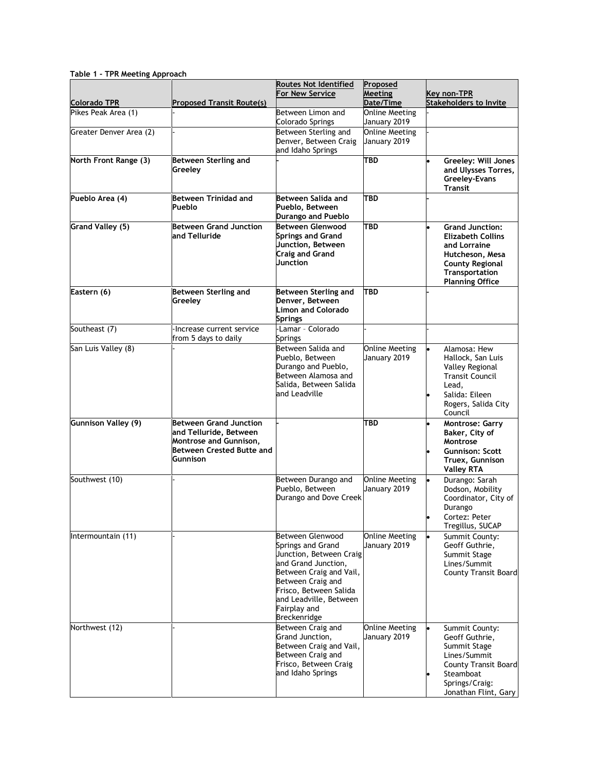|  |  | Table 1 - TPR Meeting Approach |
|--|--|--------------------------------|
|  |  |                                |

| <b>Colorado TPR</b>     | <b>Proposed Transit Route(s)</b>                                                                                           | <b>Routes Not Identified</b><br><b>For New Service</b>                                                                                                                                                                      | Proposed<br><b>Meeting</b><br>Date/Time | Key non-TPR<br><b>Stakeholders to Invite</b>                                                                                                                |
|-------------------------|----------------------------------------------------------------------------------------------------------------------------|-----------------------------------------------------------------------------------------------------------------------------------------------------------------------------------------------------------------------------|-----------------------------------------|-------------------------------------------------------------------------------------------------------------------------------------------------------------|
| Pikes Peak Area (1)     |                                                                                                                            | Between Limon and<br>Colorado Springs                                                                                                                                                                                       | <b>Online Meeting</b><br>January 2019   |                                                                                                                                                             |
| Greater Denver Area (2) |                                                                                                                            | Between Sterling and<br>Denver, Between Craig<br>and Idaho Springs                                                                                                                                                          | <b>Online Meeting</b><br>January 2019   |                                                                                                                                                             |
| North Front Range (3)   | Between Sterling and<br>Greeley                                                                                            |                                                                                                                                                                                                                             | <b>TBD</b>                              | Greeley: Will Jones<br>and Ulysses Torres,<br><b>Greeley-Evans</b><br><b>Transit</b>                                                                        |
| Pueblo Area (4)         | Between Trinidad and<br>Pueblo                                                                                             | Between Salida and<br>Pueblo, Between<br>Durango and Pueblo                                                                                                                                                                 | TBD                                     |                                                                                                                                                             |
| Grand Valley (5)        | Between Grand Junction<br>and Telluride                                                                                    | Between Glenwood<br><b>Springs and Grand</b><br>Junction, Between<br><b>Craig and Grand</b><br><b>Junction</b>                                                                                                              | TBD                                     | <b>Grand Junction:</b><br><b>Elizabeth Collins</b><br>and Lorraine<br>Hutcheson, Mesa<br><b>County Regional</b><br>Transportation<br><b>Planning Office</b> |
| Eastern (6)             | Between Sterling and<br>Greeley                                                                                            | Between Sterling and<br>Denver, Between<br>Limon and Colorado<br><b>Springs</b>                                                                                                                                             | TBD                                     |                                                                                                                                                             |
| Southeast (7)           | Increase current service<br>from 5 days to daily                                                                           | Lamar - Colorado<br>Springs                                                                                                                                                                                                 |                                         |                                                                                                                                                             |
| San Luis Valley (8)     |                                                                                                                            | Between Salida and<br>Pueblo, Between<br>Durango and Pueblo,<br>Between Alamosa and<br>Salida, Between Salida<br>and Leadville                                                                                              | <b>Online Meeting</b><br>January 2019   | Alamosa: Hew<br>Hallock, San Luis<br>Valley Regional<br><b>Transit Council</b><br>Lead.<br>Salida: Eileen<br>Rogers, Salida City<br>Council                 |
| Gunnison Valley (9)     | Between Grand Junction<br>and Telluride, Between<br>Montrose and Gunnison,<br>Between Crested Butte and<br><b>Gunnison</b> |                                                                                                                                                                                                                             | <b>TBD</b>                              | Montrose: Garry<br>Baker, City of<br>Montrose<br><b>Gunnison: Scott</b><br>Truex, Gunnison<br><b>Valley RTA</b>                                             |
| Southwest (10)          |                                                                                                                            | Between Durango and<br>Pueblo, Between<br>Durango and Dove Creek                                                                                                                                                            | <b>Online Meeting</b><br>January 2019   | Durango: Sarah<br>Dodson, Mobility<br>Coordinator, City of<br>Durango<br>Cortez: Peter<br>Tregillus, SUCAP                                                  |
| Intermountain (11)      |                                                                                                                            | Between Glenwood<br>Springs and Grand<br>Junction, Between Craig<br>and Grand Junction,<br>Between Craig and Vail,<br>Between Craig and<br>Frisco, Between Salida<br>and Leadville, Between<br>Fairplay and<br>Breckenridge | <b>Online Meeting</b><br>January 2019   | Summit County:<br>Geoff Guthrie,<br>Summit Stage<br>Lines/Summit<br><b>County Transit Board</b>                                                             |
| Northwest (12)          |                                                                                                                            | Between Craig and<br>Grand Junction,<br>Between Craig and Vail,<br>Between Craig and<br>Frisco, Between Craig<br>and Idaho Springs                                                                                          | <b>Online Meeting</b><br>January 2019   | Summit County:<br>Geoff Guthrie,<br>Summit Stage<br>Lines/Summit<br><b>County Transit Board</b><br>Steamboat<br>Springs/Craig:<br>Jonathan Flint, Gary      |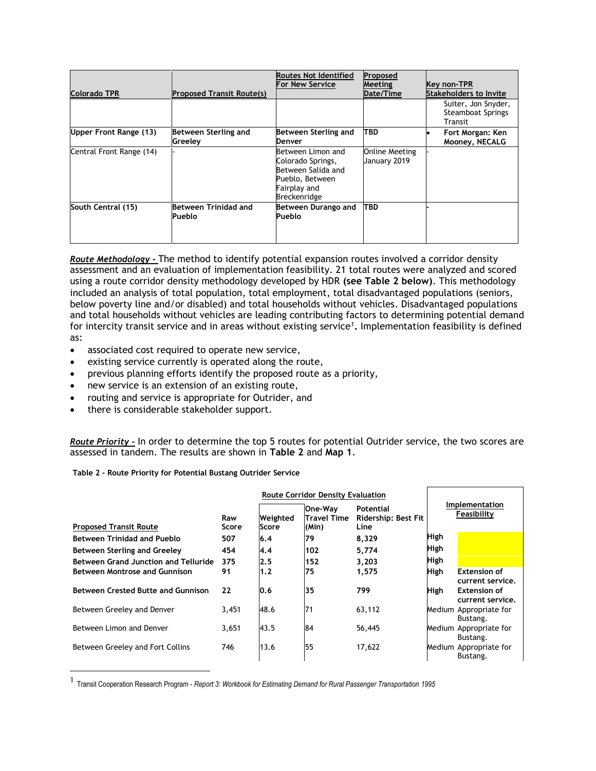| Colorado TPR             | <b>Proposed Transit Route(s)</b> | <b>Routes Not Identified</b><br><b>For New Service</b>                                                                 | Proposed<br>Meeting<br>Date/Time      | Key non-TPR<br><b>Stakeholders to Invite</b>               |
|--------------------------|----------------------------------|------------------------------------------------------------------------------------------------------------------------|---------------------------------------|------------------------------------------------------------|
|                          |                                  |                                                                                                                        |                                       | Suiter, Jon Snyder,<br><b>Steamboat Springs</b><br>Transit |
| Upper Front Range (13)   | Between Sterling and<br>Greeley  | Between Sterling and<br>Denver                                                                                         | <b>TBD</b>                            | Fort Morgan: Ken<br>Mooney, NECALG                         |
| Central Front Range (14) |                                  | Between Limon and<br>Colorado Springs,<br>Between Salida and<br>Pueblo, Between<br>Fairplay and<br><b>Breckenridge</b> | <b>Online Meeting</b><br>January 2019 |                                                            |
| South Central (15)       | Between Trinidad and<br>Pueblo   | Between Durango and<br>Pueblo                                                                                          | <b>TBD</b>                            |                                                            |

*Route Methodology -* The method to identify potential expansion routes involved a corridor density assessment and an evaluation of implementation feasibility. 21 total routes were analyzed and scored using a route corridor density methodology developed by HDR **(see Table 2 below)**. This methodology included an analysis of total population, total employment, total disadvantaged populations (seniors, below poverty line and/or disabled) and total households without vehicles. Disadvantaged populations and total households without vehicles are leading contributing factors to determining potential demand for intercity transit service and in areas without existing service<sup>1</sup> **.** Implementation feasibility is defined as:

- associated cost required to operate new service,
- existing service currently is operated along the route,
- previous planning efforts identify the proposed route as a priority,
- new service is an extension of an existing route,
- routing and service is appropriate for Outrider, and
- there is considerable stakeholder support.

 $\overline{a}$ 

*Route Priority –* In order to determine the top 5 routes for potential Outrider service, the two scores are assessed in tandem. The results are shown in **Table 2** and **Map 1**.

**Table 2 - Route Priority for Potential Bustang Outrider Service**

|                                      |              |                          | <b>Route Corridor Density Evaluation</b> |                                                 |             |                                         |
|--------------------------------------|--------------|--------------------------|------------------------------------------|-------------------------------------------------|-------------|-----------------------------------------|
| <b>Proposed Transit Route</b>        | Raw<br>Score | Weighted<br><b>Score</b> | One-Wav<br><b>Travel Time</b><br>(Min)   | Potential<br><b>Ridership: Best Fit</b><br>Line |             | <b>Implementation</b><br>Feasibilitv    |
| <b>Between Trinidad and Pueblo</b>   | 507          | 6.4                      | 79                                       | 8,329                                           | <b>High</b> |                                         |
| Between Sterling and Greeley         | 454          | 4.4                      | 102                                      | 5,774                                           | <b>High</b> |                                         |
| Between Grand Junction and Telluride | 375          | 2.5                      | 152                                      | 3,203                                           | <b>High</b> |                                         |
| Between Montrose and Gunnison        | 91           | 1.2                      | 75                                       | 1,575                                           | <b>High</b> | <b>Extension of</b><br>current service. |
| Between Crested Butte and Gunnison   | 22           | 0.6                      | 35                                       | 799                                             | <b>High</b> | <b>Extension of</b><br>current service. |
| Between Greeley and Denver           | 3.451        | 48.6                     | 71                                       | 63,112                                          |             | Medium Appropriate for<br>Bustang.      |
| Between Limon and Denver             | 3.651        | 43.5                     | 84                                       | 56,445                                          |             | Medium Appropriate for<br>Bustang.      |
| Between Greeley and Fort Collins     | 746          | 13.6                     | 55                                       | 17,622                                          |             | Medium Appropriate for<br>Bustang.      |

1 Transit Cooperation Research Program - *Report 3: Workbook for Estimating Demand for Rural Passenger Transportation 1995*